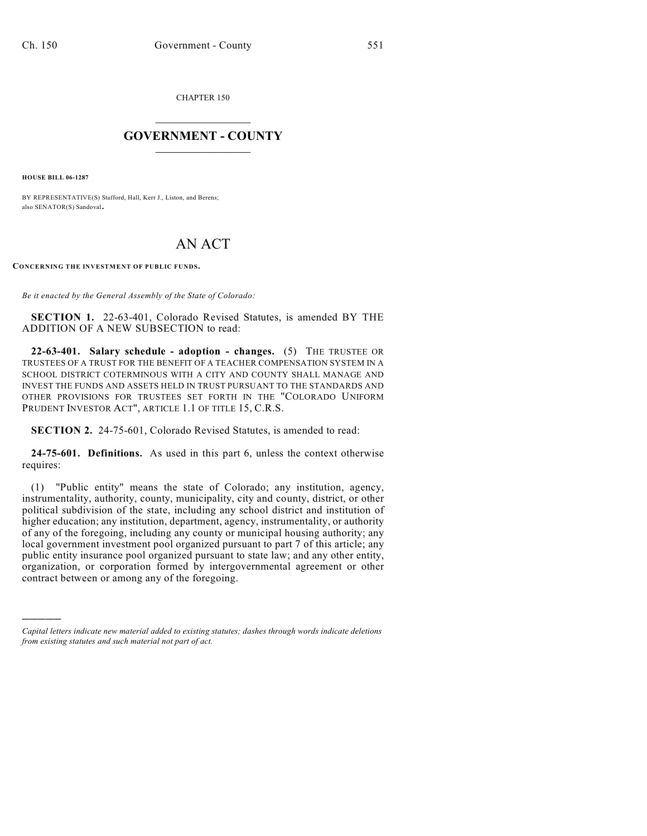CHAPTER 150

# $\mathcal{L}_\text{max}$  . The set of the set of the set of the set of the set of the set of the set of the set of the set of the set of the set of the set of the set of the set of the set of the set of the set of the set of the set **GOVERNMENT - COUNTY**  $\_$

**HOUSE BILL 06-1287**

)))))

BY REPRESENTATIVE(S) Stafford, Hall, Kerr J., Liston, and Berens; also SENATOR(S) Sandoval.

## AN ACT

**CONCERNING THE INVESTMENT OF PUBLIC FUNDS.**

*Be it enacted by the General Assembly of the State of Colorado:*

**SECTION 1.** 22-63-401, Colorado Revised Statutes, is amended BY THE ADDITION OF A NEW SUBSECTION to read:

**22-63-401. Salary schedule - adoption - changes.** (5) THE TRUSTEE OR TRUSTEES OF A TRUST FOR THE BENEFIT OF A TEACHER COMPENSATION SYSTEM IN A SCHOOL DISTRICT COTERMINOUS WITH A CITY AND COUNTY SHALL MANAGE AND INVEST THE FUNDS AND ASSETS HELD IN TRUST PURSUANT TO THE STANDARDS AND OTHER PROVISIONS FOR TRUSTEES SET FORTH IN THE "COLORADO UNIFORM PRUDENT INVESTOR ACT", ARTICLE 1.1 OF TITLE 15, C.R.S.

**SECTION 2.** 24-75-601, Colorado Revised Statutes, is amended to read:

**24-75-601. Definitions.** As used in this part 6, unless the context otherwise requires:

(1) "Public entity" means the state of Colorado; any institution, agency, instrumentality, authority, county, municipality, city and county, district, or other political subdivision of the state, including any school district and institution of higher education; any institution, department, agency, instrumentality, or authority of any of the foregoing, including any county or municipal housing authority; any local government investment pool organized pursuant to part 7 of this article; any public entity insurance pool organized pursuant to state law; and any other entity, organization, or corporation formed by intergovernmental agreement or other contract between or among any of the foregoing.

*Capital letters indicate new material added to existing statutes; dashes through words indicate deletions from existing statutes and such material not part of act.*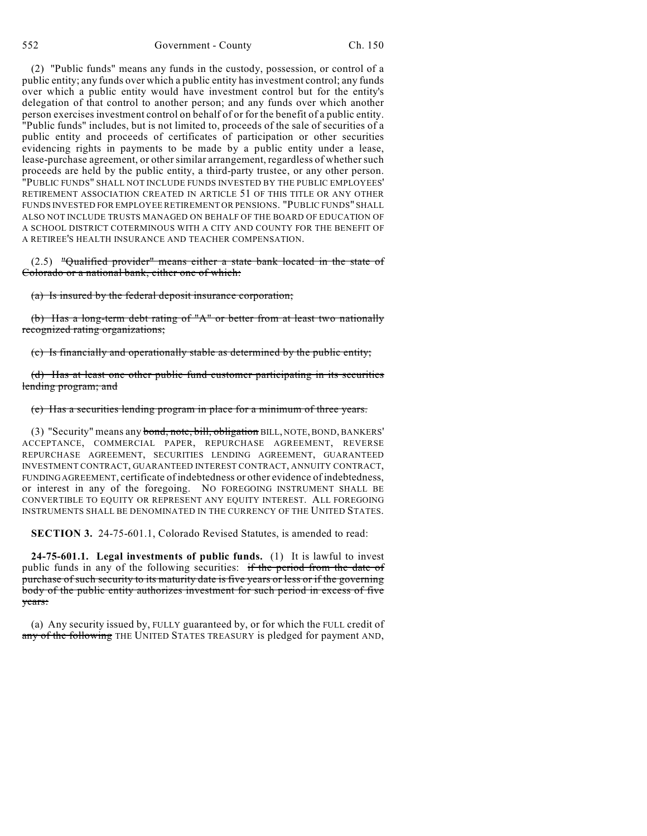(2) "Public funds" means any funds in the custody, possession, or control of a public entity; any funds over which a public entity has investment control; any funds over which a public entity would have investment control but for the entity's delegation of that control to another person; and any funds over which another person exercises investment control on behalf of or for the benefit of a public entity. "Public funds" includes, but is not limited to, proceeds of the sale of securities of a public entity and proceeds of certificates of participation or other securities evidencing rights in payments to be made by a public entity under a lease, lease-purchase agreement, or other similar arrangement, regardless of whether such proceeds are held by the public entity, a third-party trustee, or any other person. "PUBLIC FUNDS" SHALL NOT INCLUDE FUNDS INVESTED BY THE PUBLIC EMPLOYEES' RETIREMENT ASSOCIATION CREATED IN ARTICLE 51 OF THIS TITLE OR ANY OTHER FUNDS INVESTED FOR EMPLOYEE RETIREMENT OR PENSIONS. "PUBLIC FUNDS" SHALL ALSO NOT INCLUDE TRUSTS MANAGED ON BEHALF OF THE BOARD OF EDUCATION OF A SCHOOL DISTRICT COTERMINOUS WITH A CITY AND COUNTY FOR THE BENEFIT OF A RETIREE'S HEALTH INSURANCE AND TEACHER COMPENSATION.

(2.5) "Qualified provider" means either a state bank located in the state of Colorado or a national bank, either one of which:

(a) Is insured by the federal deposit insurance corporation;

(b) Has a long-term debt rating of "A" or better from at least two nationally recognized rating organizations;

(c) Is financially and operationally stable as determined by the public entity;

(d) Has at least one other public fund customer participating in its securities lending program; and

(e) Has a securities lending program in place for a minimum of three years.

(3) "Security" means any bond, note, bill, obligation BILL, NOTE, BOND, BANKERS' ACCEPTANCE, COMMERCIAL PAPER, REPURCHASE AGREEMENT, REVERSE REPURCHASE AGREEMENT, SECURITIES LENDING AGREEMENT, GUARANTEED INVESTMENT CONTRACT, GUARANTEED INTEREST CONTRACT, ANNUITY CONTRACT, FUNDING AGREEMENT, certificate of indebtedness or other evidence of indebtedness, or interest in any of the foregoing. NO FOREGOING INSTRUMENT SHALL BE CONVERTIBLE TO EQUITY OR REPRESENT ANY EQUITY INTEREST. ALL FOREGOING INSTRUMENTS SHALL BE DENOMINATED IN THE CURRENCY OF THE UNITED STATES.

**SECTION 3.** 24-75-601.1, Colorado Revised Statutes, is amended to read:

**24-75-601.1. Legal investments of public funds.** (1) It is lawful to invest public funds in any of the following securities: if the period from the date of purchase of such security to its maturity date is five years or less or if the governing body of the public entity authorizes investment for such period in excess of five years:

(a) Any security issued by, FULLY guaranteed by, or for which the FULL credit of any of the following THE UNITED STATES TREASURY is pledged for payment AND,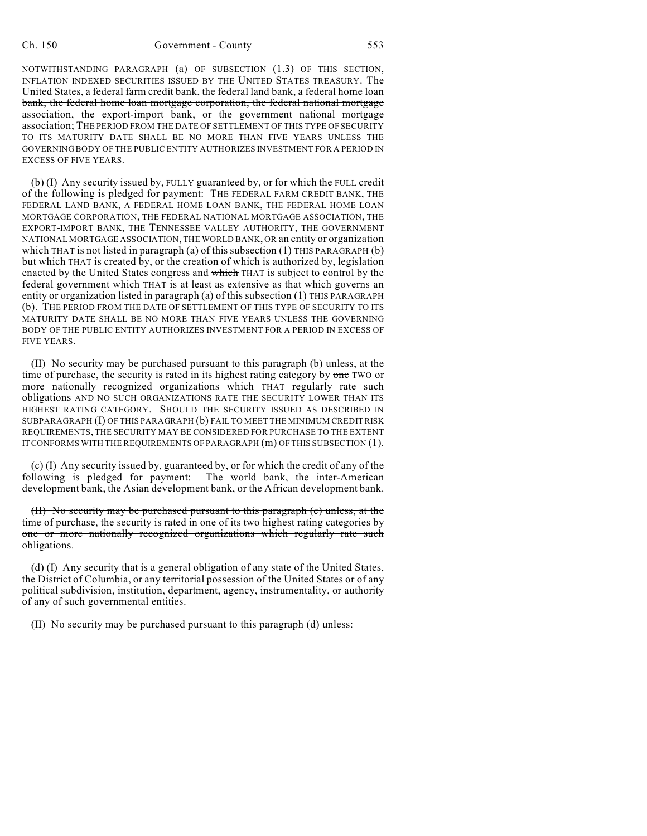NOTWITHSTANDING PARAGRAPH (a) OF SUBSECTION (1.3) OF THIS SECTION, INFLATION INDEXED SECURITIES ISSUED BY THE UNITED STATES TREASURY. The United States, a federal farm credit bank, the federal land bank, a federal home loan bank, the federal home loan mortgage corporation, the federal national mortgage association, the export-import bank, or the government national mortgage association; THE PERIOD FROM THE DATE OF SETTLEMENT OF THIS TYPE OF SECURITY TO ITS MATURITY DATE SHALL BE NO MORE THAN FIVE YEARS UNLESS THE GOVERNING BODY OF THE PUBLIC ENTITY AUTHORIZES INVESTMENT FOR A PERIOD IN EXCESS OF FIVE YEARS.

(b) (I) Any security issued by, FULLY guaranteed by, or for which the FULL credit of the following is pledged for payment: THE FEDERAL FARM CREDIT BANK, THE FEDERAL LAND BANK, A FEDERAL HOME LOAN BANK, THE FEDERAL HOME LOAN MORTGAGE CORPORATION, THE FEDERAL NATIONAL MORTGAGE ASSOCIATION, THE EXPORT-IMPORT BANK, THE TENNESSEE VALLEY AUTHORITY, THE GOVERNMENT NATIONAL MORTGAGE ASSOCIATION, THE WORLD BANK, OR an entity or organization which THAT is not listed in paragraph (a) of this subsection  $(1)$  THIS PARAGRAPH  $(b)$ but which THAT is created by, or the creation of which is authorized by, legislation enacted by the United States congress and which THAT is subject to control by the federal government which THAT is at least as extensive as that which governs an entity or organization listed in paragraph (a) of this subsection (1) THIS PARAGRAPH (b). THE PERIOD FROM THE DATE OF SETTLEMENT OF THIS TYPE OF SECURITY TO ITS MATURITY DATE SHALL BE NO MORE THAN FIVE YEARS UNLESS THE GOVERNING BODY OF THE PUBLIC ENTITY AUTHORIZES INVESTMENT FOR A PERIOD IN EXCESS OF FIVE YEARS.

(II) No security may be purchased pursuant to this paragraph (b) unless, at the time of purchase, the security is rated in its highest rating category by one TWO or more nationally recognized organizations which THAT regularly rate such obligations AND NO SUCH ORGANIZATIONS RATE THE SECURITY LOWER THAN ITS HIGHEST RATING CATEGORY. SHOULD THE SECURITY ISSUED AS DESCRIBED IN SUBPARAGRAPH (I) OF THIS PARAGRAPH (b) FAIL TO MEET THE MINIMUM CREDIT RISK REQUIREMENTS, THE SECURITY MAY BE CONSIDERED FOR PURCHASE TO THE EXTENT IT CONFORMS WITH THE REQUIREMENTS OF PARAGRAPH (m) OF THIS SUBSECTION (1).

 $(c)$  (f) Any security issued by, guaranteed by, or for which the credit of any of the following is pledged for payment: The world bank, the inter-American development bank, the Asian development bank, or the African development bank.

(II) No security may be purchased pursuant to this paragraph (c) unless, at the time of purchase, the security is rated in one of its two highest rating categories by one or more nationally recognized organizations which regularly rate such obligations.

(d) (I) Any security that is a general obligation of any state of the United States, the District of Columbia, or any territorial possession of the United States or of any political subdivision, institution, department, agency, instrumentality, or authority of any of such governmental entities.

(II) No security may be purchased pursuant to this paragraph (d) unless: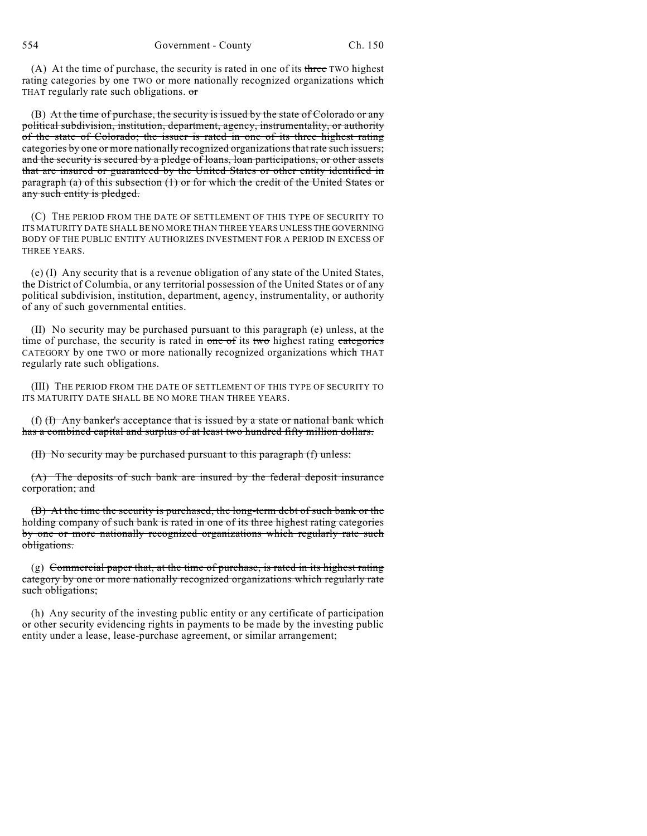(A) At the time of purchase, the security is rated in one of its three TWO highest rating categories by one TWO or more nationally recognized organizations which THAT regularly rate such obligations. or

(B) At the time of purchase, the security is issued by the state of Colorado or any political subdivision, institution, department, agency, instrumentality, or authority of the state of Colorado; the issuer is rated in one of its three highest rating categories by one or more nationally recognized organizations that rate such issuers; and the security is secured by a pledge of loans, loan participations, or other assets that are insured or guaranteed by the United States or other entity identified in paragraph (a) of this subsection (1) or for which the credit of the United States or any such entity is pledged.

(C) THE PERIOD FROM THE DATE OF SETTLEMENT OF THIS TYPE OF SECURITY TO ITS MATURITY DATE SHALL BE NO MORE THAN THREE YEARS UNLESS THE GOVERNING BODY OF THE PUBLIC ENTITY AUTHORIZES INVESTMENT FOR A PERIOD IN EXCESS OF THREE YEARS.

(e) (I) Any security that is a revenue obligation of any state of the United States, the District of Columbia, or any territorial possession of the United States or of any political subdivision, institution, department, agency, instrumentality, or authority of any of such governmental entities.

(II) No security may be purchased pursuant to this paragraph (e) unless, at the time of purchase, the security is rated in one of its two highest rating categories CATEGORY by one TWO or more nationally recognized organizations which THAT regularly rate such obligations.

(III) THE PERIOD FROM THE DATE OF SETTLEMENT OF THIS TYPE OF SECURITY TO ITS MATURITY DATE SHALL BE NO MORE THAN THREE YEARS.

(f)  $(H)$  Any banker's acceptance that is issued by a state or national bank which has a combined capital and surplus of at least two hundred fifty million dollars.

(II) No security may be purchased pursuant to this paragraph (f) unless:

(A) The deposits of such bank are insured by the federal deposit insurance corporation; and

(B) At the time the security is purchased, the long-term debt of such bank or the holding company of such bank is rated in one of its three highest rating categories by one or more nationally recognized organizations which regularly rate such obligations.

 $(g)$  Commercial paper that, at the time of purchase, is rated in its highest rating category by one or more nationally recognized organizations which regularly rate such obligations;

(h) Any security of the investing public entity or any certificate of participation or other security evidencing rights in payments to be made by the investing public entity under a lease, lease-purchase agreement, or similar arrangement;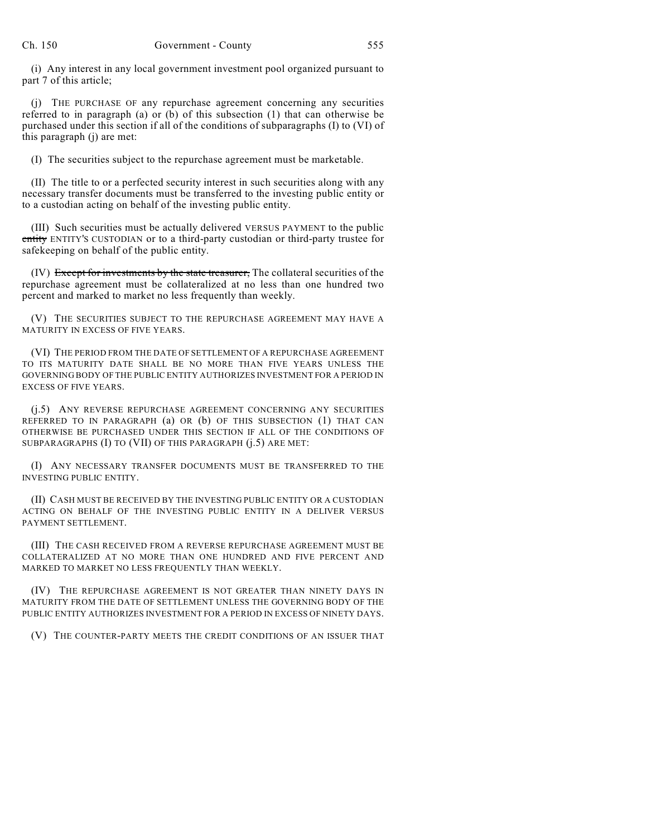(i) Any interest in any local government investment pool organized pursuant to part 7 of this article;

(j) THE PURCHASE OF any repurchase agreement concerning any securities referred to in paragraph (a) or (b) of this subsection (1) that can otherwise be purchased under this section if all of the conditions of subparagraphs (I) to (VI) of this paragraph (j) are met:

(I) The securities subject to the repurchase agreement must be marketable.

(II) The title to or a perfected security interest in such securities along with any necessary transfer documents must be transferred to the investing public entity or to a custodian acting on behalf of the investing public entity.

(III) Such securities must be actually delivered VERSUS PAYMENT to the public entity ENTITY'S CUSTODIAN or to a third-party custodian or third-party trustee for safekeeping on behalf of the public entity.

(IV) Except for investments by the state treasurer, The collateral securities of the repurchase agreement must be collateralized at no less than one hundred two percent and marked to market no less frequently than weekly.

(V) THE SECURITIES SUBJECT TO THE REPURCHASE AGREEMENT MAY HAVE A MATURITY IN EXCESS OF FIVE YEARS.

(VI) THE PERIOD FROM THE DATE OF SETTLEMENT OF A REPURCHASE AGREEMENT TO ITS MATURITY DATE SHALL BE NO MORE THAN FIVE YEARS UNLESS THE GOVERNING BODY OF THE PUBLIC ENTITY AUTHORIZES INVESTMENT FOR A PERIOD IN EXCESS OF FIVE YEARS.

(j.5) ANY REVERSE REPURCHASE AGREEMENT CONCERNING ANY SECURITIES REFERRED TO IN PARAGRAPH (a) OR (b) OF THIS SUBSECTION (1) THAT CAN OTHERWISE BE PURCHASED UNDER THIS SECTION IF ALL OF THE CONDITIONS OF SUBPARAGRAPHS (I) TO (VII) OF THIS PARAGRAPH (j.5) ARE MET:

(I) ANY NECESSARY TRANSFER DOCUMENTS MUST BE TRANSFERRED TO THE INVESTING PUBLIC ENTITY.

(II) CASH MUST BE RECEIVED BY THE INVESTING PUBLIC ENTITY OR A CUSTODIAN ACTING ON BEHALF OF THE INVESTING PUBLIC ENTITY IN A DELIVER VERSUS PAYMENT SETTLEMENT.

(III) THE CASH RECEIVED FROM A REVERSE REPURCHASE AGREEMENT MUST BE COLLATERALIZED AT NO MORE THAN ONE HUNDRED AND FIVE PERCENT AND MARKED TO MARKET NO LESS FREQUENTLY THAN WEEKLY.

(IV) THE REPURCHASE AGREEMENT IS NOT GREATER THAN NINETY DAYS IN MATURITY FROM THE DATE OF SETTLEMENT UNLESS THE GOVERNING BODY OF THE PUBLIC ENTITY AUTHORIZES INVESTMENT FOR A PERIOD IN EXCESS OF NINETY DAYS.

(V) THE COUNTER-PARTY MEETS THE CREDIT CONDITIONS OF AN ISSUER THAT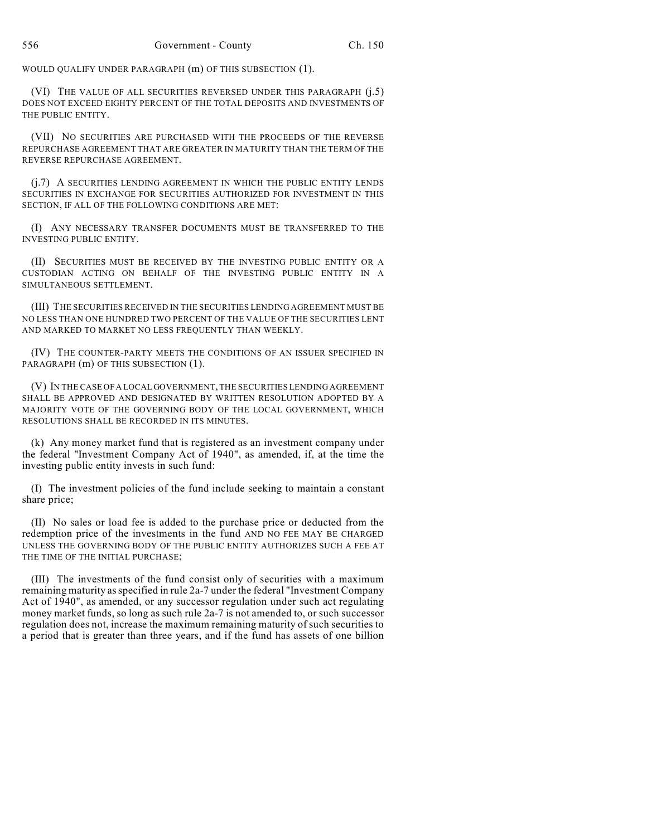WOULD QUALIFY UNDER PARAGRAPH (m) OF THIS SUBSECTION (1).

(VI) THE VALUE OF ALL SECURITIES REVERSED UNDER THIS PARAGRAPH (j.5) DOES NOT EXCEED EIGHTY PERCENT OF THE TOTAL DEPOSITS AND INVESTMENTS OF THE PUBLIC ENTITY.

(VII) NO SECURITIES ARE PURCHASED WITH THE PROCEEDS OF THE REVERSE REPURCHASE AGREEMENT THAT ARE GREATER IN MATURITY THAN THE TERM OF THE REVERSE REPURCHASE AGREEMENT.

(j.7) A SECURITIES LENDING AGREEMENT IN WHICH THE PUBLIC ENTITY LENDS SECURITIES IN EXCHANGE FOR SECURITIES AUTHORIZED FOR INVESTMENT IN THIS SECTION, IF ALL OF THE FOLLOWING CONDITIONS ARE MET:

(I) ANY NECESSARY TRANSFER DOCUMENTS MUST BE TRANSFERRED TO THE INVESTING PUBLIC ENTITY.

(II) SECURITIES MUST BE RECEIVED BY THE INVESTING PUBLIC ENTITY OR A CUSTODIAN ACTING ON BEHALF OF THE INVESTING PUBLIC ENTITY IN A SIMULTANEOUS SETTLEMENT.

(III) THE SECURITIES RECEIVED IN THE SECURITIES LENDING AGREEMENT MUST BE NO LESS THAN ONE HUNDRED TWO PERCENT OF THE VALUE OF THE SECURITIES LENT AND MARKED TO MARKET NO LESS FREQUENTLY THAN WEEKLY.

(IV) THE COUNTER-PARTY MEETS THE CONDITIONS OF AN ISSUER SPECIFIED IN PARAGRAPH (m) OF THIS SUBSECTION (1).

(V) IN THE CASE OF A LOCAL GOVERNMENT, THE SECURITIES LENDING AGREEMENT SHALL BE APPROVED AND DESIGNATED BY WRITTEN RESOLUTION ADOPTED BY A MAJORITY VOTE OF THE GOVERNING BODY OF THE LOCAL GOVERNMENT, WHICH RESOLUTIONS SHALL BE RECORDED IN ITS MINUTES.

(k) Any money market fund that is registered as an investment company under the federal "Investment Company Act of 1940", as amended, if, at the time the investing public entity invests in such fund:

(I) The investment policies of the fund include seeking to maintain a constant share price;

(II) No sales or load fee is added to the purchase price or deducted from the redemption price of the investments in the fund AND NO FEE MAY BE CHARGED UNLESS THE GOVERNING BODY OF THE PUBLIC ENTITY AUTHORIZES SUCH A FEE AT THE TIME OF THE INITIAL PURCHASE;

(III) The investments of the fund consist only of securities with a maximum remaining maturity asspecified in rule 2a-7 under the federal "Investment Company Act of 1940", as amended, or any successor regulation under such act regulating money market funds, so long as such rule 2a-7 is not amended to, or such successor regulation does not, increase the maximum remaining maturity of such securities to a period that is greater than three years, and if the fund has assets of one billion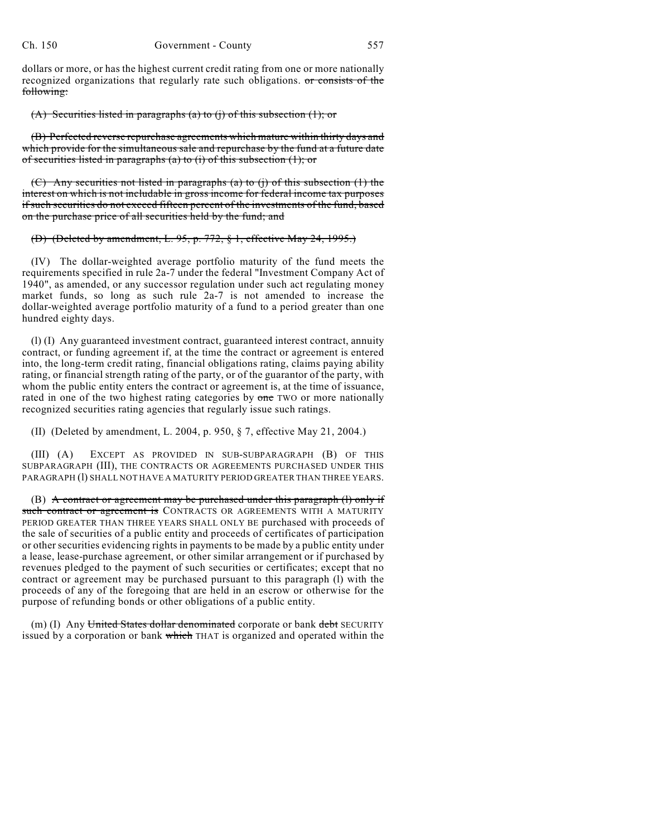dollars or more, or has the highest current credit rating from one or more nationally recognized organizations that regularly rate such obligations. or consists of the following:

#### (A) Securities listed in paragraphs (a) to (j) of this subsection  $(1)$ ; or

(B) Perfected reverse repurchase agreements which mature within thirty days and which provide for the simultaneous sale and repurchase by the fund at a future date of securities listed in paragraphs (a) to (i) of this subsection  $(1)$ ; or

(C) Any securities not listed in paragraphs (a) to (j) of this subsection (1) the interest on which is not includable in gross income for federal income tax purposes if such securities do not exceed fifteen percent of the investments of the fund, based on the purchase price of all securities held by the fund; and

### (D) (Deleted by amendment, L. 95, p. 772, § 1, effective May 24, 1995.)

(IV) The dollar-weighted average portfolio maturity of the fund meets the requirements specified in rule 2a-7 under the federal "Investment Company Act of 1940", as amended, or any successor regulation under such act regulating money market funds, so long as such rule 2a-7 is not amended to increase the dollar-weighted average portfolio maturity of a fund to a period greater than one hundred eighty days.

(l) (I) Any guaranteed investment contract, guaranteed interest contract, annuity contract, or funding agreement if, at the time the contract or agreement is entered into, the long-term credit rating, financial obligations rating, claims paying ability rating, or financial strength rating of the party, or of the guarantor of the party, with whom the public entity enters the contract or agreement is, at the time of issuance, rated in one of the two highest rating categories by one TWO or more nationally recognized securities rating agencies that regularly issue such ratings.

### (II) (Deleted by amendment, L. 2004, p. 950, § 7, effective May 21, 2004.)

(III) (A) EXCEPT AS PROVIDED IN SUB-SUBPARAGRAPH (B) OF THIS SUBPARAGRAPH (III), THE CONTRACTS OR AGREEMENTS PURCHASED UNDER THIS PARAGRAPH (I) SHALL NOT HAVE A MATURITY PERIOD GREATER THAN THREE YEARS.

(B) A contract or agreement may be purchased under this paragraph (l) only if such contract or agreement is CONTRACTS OR AGREEMENTS WITH A MATURITY PERIOD GREATER THAN THREE YEARS SHALL ONLY BE purchased with proceeds of the sale of securities of a public entity and proceeds of certificates of participation or other securities evidencing rights in payments to be made by a public entity under a lease, lease-purchase agreement, or other similar arrangement or if purchased by revenues pledged to the payment of such securities or certificates; except that no contract or agreement may be purchased pursuant to this paragraph (l) with the proceeds of any of the foregoing that are held in an escrow or otherwise for the purpose of refunding bonds or other obligations of a public entity.

(m) (I) Any United States dollar denominated corporate or bank debt SECURITY issued by a corporation or bank which THAT is organized and operated within the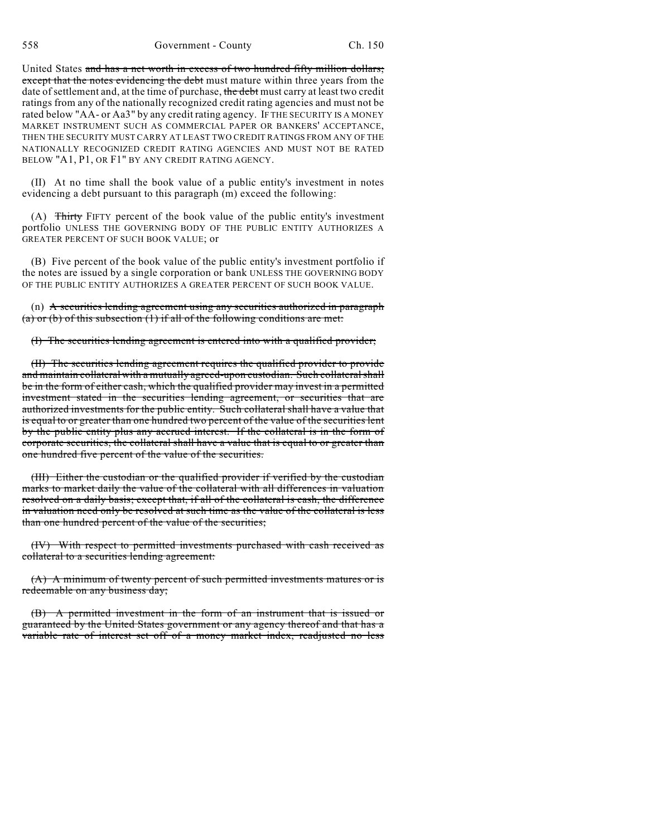United States and has a net worth in excess of two hundred fifty million dollars; except that the notes evidencing the debt must mature within three years from the date of settlement and, at the time of purchase, the debt must carry at least two credit ratings from any of the nationally recognized credit rating agencies and must not be rated below "AA- or Aa3" by any credit rating agency. IF THE SECURITY IS A MONEY MARKET INSTRUMENT SUCH AS COMMERCIAL PAPER OR BANKERS' ACCEPTANCE, THEN THE SECURITY MUST CARRY AT LEAST TWO CREDIT RATINGS FROM ANY OF THE NATIONALLY RECOGNIZED CREDIT RATING AGENCIES AND MUST NOT BE RATED BELOW "A1, P1, OR F1" BY ANY CREDIT RATING AGENCY.

(II) At no time shall the book value of a public entity's investment in notes evidencing a debt pursuant to this paragraph (m) exceed the following:

(A) Thirty FIFTY percent of the book value of the public entity's investment portfolio UNLESS THE GOVERNING BODY OF THE PUBLIC ENTITY AUTHORIZES A GREATER PERCENT OF SUCH BOOK VALUE; or

(B) Five percent of the book value of the public entity's investment portfolio if the notes are issued by a single corporation or bank UNLESS THE GOVERNING BODY OF THE PUBLIC ENTITY AUTHORIZES A GREATER PERCENT OF SUCH BOOK VALUE.

(n) A securities lending agreement using any securities authorized in paragraph (a) or (b) of this subsection  $(1)$  if all of the following conditions are met:

(I) The securities lending agreement is entered into with a qualified provider;

(II) The securities lending agreement requires the qualified provider to provide and maintain collateral with a mutually agreed-upon custodian. Such collateral shall be in the form of either cash, which the qualified provider may invest in a permitted investment stated in the securities lending agreement, or securities that are authorized investments for the public entity. Such collateral shall have a value that is equal to or greater than one hundred two percent of the value of the securities lent by the public entity plus any accrued interest. If the collateral is in the form of corporate securities, the collateral shall have a value that is equal to or greater than one hundred five percent of the value of the securities.

(III) Either the custodian or the qualified provider if verified by the custodian marks to market daily the value of the collateral with all differences in valuation resolved on a daily basis; except that, if all of the collateral is cash, the difference in valuation need only be resolved at such time as the value of the collateral is less than one hundred percent of the value of the securities;

(IV) With respect to permitted investments purchased with cash received as collateral to a securities lending agreement:

(A) A minimum of twenty percent of such permitted investments matures or is redeemable on any business day;

(B) A permitted investment in the form of an instrument that is issued or guaranteed by the United States government or any agency thereof and that has a variable rate of interest set off of a money market index, readjusted no less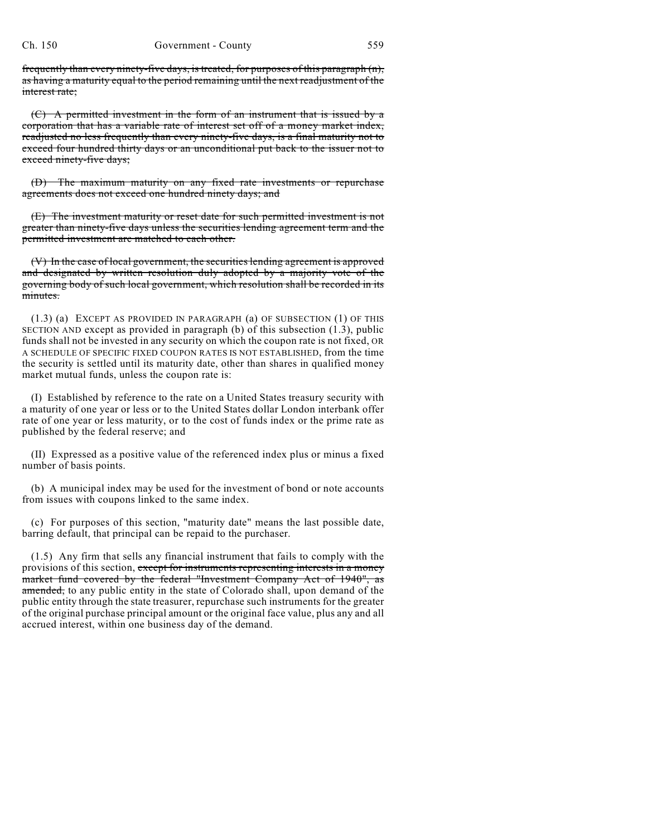frequently than every ninety-five days, is treated, for purposes of this paragraph (n), as having a maturity equal to the period remaining until the next readjustment of the interest rate;

 $(C)$  A permitted investment in the form of an instrument that is issued by a corporation that has a variable rate of interest set off of a money market index, readjusted no less frequently than every ninety-five days, is a final maturity not to exceed four hundred thirty days or an unconditional put back to the issuer not to exceed ninety-five days;

(D) The maximum maturity on any fixed rate investments or repurchase agreements does not exceed one hundred ninety days; and

(E) The investment maturity or reset date for such permitted investment is not greater than ninety-five days unless the securities lending agreement term and the permitted investment are matched to each other.

(V) In the case of local government, the securities lending agreement is approved and designated by written resolution duly adopted by a majority vote of the governing body of such local government, which resolution shall be recorded in its minutes.

(1.3) (a) EXCEPT AS PROVIDED IN PARAGRAPH (a) OF SUBSECTION (1) OF THIS SECTION AND except as provided in paragraph (b) of this subsection  $(1.3)$ , public funds shall not be invested in any security on which the coupon rate is not fixed, OR A SCHEDULE OF SPECIFIC FIXED COUPON RATES IS NOT ESTABLISHED, from the time the security is settled until its maturity date, other than shares in qualified money market mutual funds, unless the coupon rate is:

(I) Established by reference to the rate on a United States treasury security with a maturity of one year or less or to the United States dollar London interbank offer rate of one year or less maturity, or to the cost of funds index or the prime rate as published by the federal reserve; and

(II) Expressed as a positive value of the referenced index plus or minus a fixed number of basis points.

(b) A municipal index may be used for the investment of bond or note accounts from issues with coupons linked to the same index.

(c) For purposes of this section, "maturity date" means the last possible date, barring default, that principal can be repaid to the purchaser.

(1.5) Any firm that sells any financial instrument that fails to comply with the provisions of this section, except for instruments representing interests in a money market fund covered by the federal "Investment Company Act of 1940", as amended, to any public entity in the state of Colorado shall, upon demand of the public entity through the state treasurer, repurchase such instruments for the greater of the original purchase principal amount or the original face value, plus any and all accrued interest, within one business day of the demand.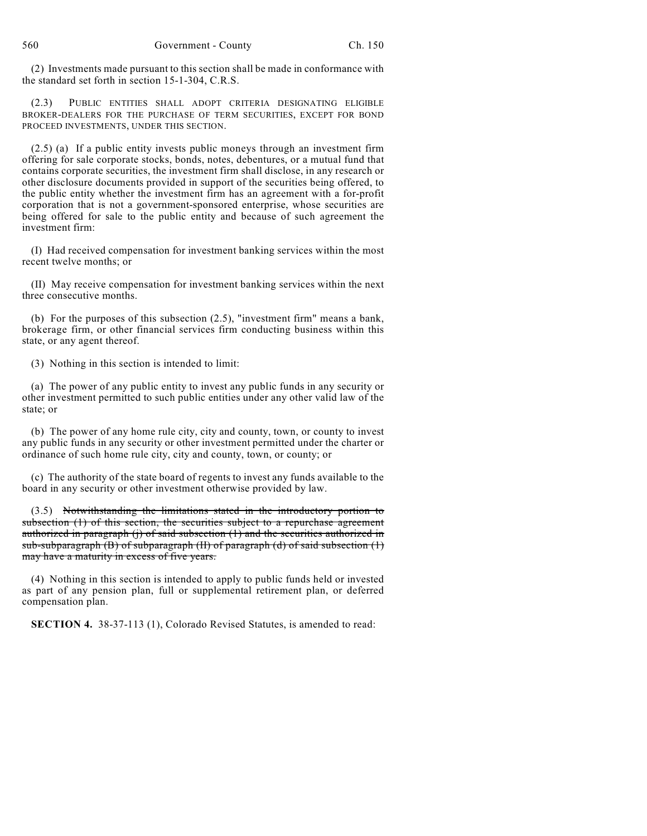(2) Investments made pursuant to this section shall be made in conformance with the standard set forth in section 15-1-304, C.R.S.

(2.3) PUBLIC ENTITIES SHALL ADOPT CRITERIA DESIGNATING ELIGIBLE BROKER-DEALERS FOR THE PURCHASE OF TERM SECURITIES, EXCEPT FOR BOND PROCEED INVESTMENTS, UNDER THIS SECTION.

(2.5) (a) If a public entity invests public moneys through an investment firm offering for sale corporate stocks, bonds, notes, debentures, or a mutual fund that contains corporate securities, the investment firm shall disclose, in any research or other disclosure documents provided in support of the securities being offered, to the public entity whether the investment firm has an agreement with a for-profit corporation that is not a government-sponsored enterprise, whose securities are being offered for sale to the public entity and because of such agreement the investment firm:

(I) Had received compensation for investment banking services within the most recent twelve months; or

(II) May receive compensation for investment banking services within the next three consecutive months.

(b) For the purposes of this subsection (2.5), "investment firm" means a bank, brokerage firm, or other financial services firm conducting business within this state, or any agent thereof.

(3) Nothing in this section is intended to limit:

(a) The power of any public entity to invest any public funds in any security or other investment permitted to such public entities under any other valid law of the state; or

(b) The power of any home rule city, city and county, town, or county to invest any public funds in any security or other investment permitted under the charter or ordinance of such home rule city, city and county, town, or county; or

(c) The authority of the state board of regents to invest any funds available to the board in any security or other investment otherwise provided by law.

(3.5) Notwithstanding the limitations stated in the introductory portion to subsection (1) of this section, the securities subject to a repurchase agreement authorized in paragraph (j) of said subsection (1) and the securities authorized in sub-subparagraph  $(B)$  of subparagraph  $(H)$  of paragraph  $(d)$  of said subsection  $(1)$ may have a maturity in excess of five years.

(4) Nothing in this section is intended to apply to public funds held or invested as part of any pension plan, full or supplemental retirement plan, or deferred compensation plan.

**SECTION 4.** 38-37-113 (1), Colorado Revised Statutes, is amended to read: